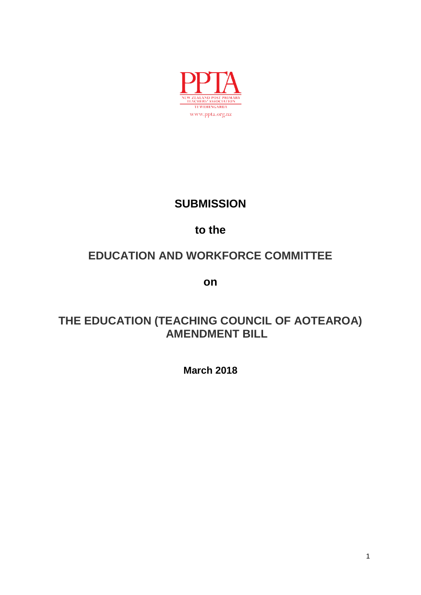

## **SUBMISSION**

# **to the**

## **EDUCATION AND WORKFORCE COMMITTEE**

**on**

## **THE EDUCATION (TEACHING COUNCIL OF AOTEAROA) AMENDMENT BILL**

**March 2018**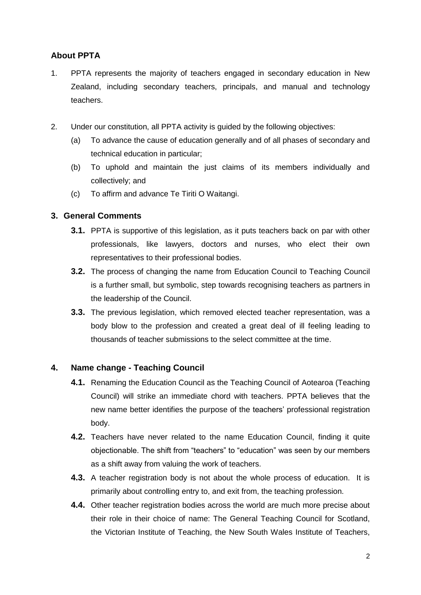### **About PPTA**

- 1. PPTA represents the majority of teachers engaged in secondary education in New Zealand, including secondary teachers, principals, and manual and technology teachers.
- 2. Under our constitution, all PPTA activity is guided by the following objectives:
	- (a) To advance the cause of education generally and of all phases of secondary and technical education in particular;
	- (b) To uphold and maintain the just claims of its members individually and collectively; and
	- (c) To affirm and advance Te Tiriti O Waitangi.

## **3. General Comments**

- **3.1.** PPTA is supportive of this legislation, as it puts teachers back on par with other professionals, like lawyers, doctors and nurses, who elect their own representatives to their professional bodies.
- **3.2.** The process of changing the name from Education Council to Teaching Council is a further small, but symbolic, step towards recognising teachers as partners in the leadership of the Council.
- **3.3.** The previous legislation, which removed elected teacher representation, was a body blow to the profession and created a great deal of ill feeling leading to thousands of teacher submissions to the select committee at the time.

### **4. Name change - Teaching Council**

- **4.1.** Renaming the Education Council as the Teaching Council of Aotearoa (Teaching Council) will strike an immediate chord with teachers. PPTA believes that the new name better identifies the purpose of the teachers' professional registration body.
- **4.2.** Teachers have never related to the name Education Council, finding it quite objectionable. The shift from "teachers" to "education" was seen by our members as a shift away from valuing the work of teachers.
- **4.3.** A teacher registration body is not about the whole process of education. It is primarily about controlling entry to, and exit from, the teaching profession.
- **4.4.** Other teacher registration bodies across the world are much more precise about their role in their choice of name: The General Teaching Council for Scotland, the Victorian Institute of Teaching, the New South Wales Institute of Teachers,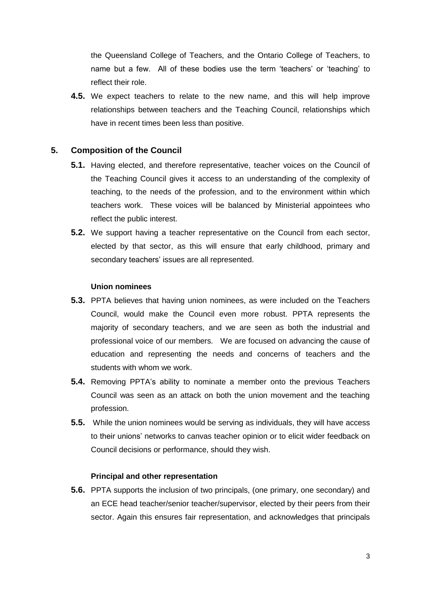the Queensland College of Teachers, and the Ontario College of Teachers, to name but a few. All of these bodies use the term 'teachers' or 'teaching' to reflect their role.

**4.5.** We expect teachers to relate to the new name, and this will help improve relationships between teachers and the Teaching Council, relationships which have in recent times been less than positive.

### **5. Composition of the Council**

- **5.1.** Having elected, and therefore representative, teacher voices on the Council of the Teaching Council gives it access to an understanding of the complexity of teaching, to the needs of the profession, and to the environment within which teachers work. These voices will be balanced by Ministerial appointees who reflect the public interest.
- **5.2.** We support having a teacher representative on the Council from each sector, elected by that sector, as this will ensure that early childhood, primary and secondary teachers' issues are all represented.

#### **Union nominees**

- **5.3.** PPTA believes that having union nominees, as were included on the Teachers Council, would make the Council even more robust. PPTA represents the majority of secondary teachers, and we are seen as both the industrial and professional voice of our members. We are focused on advancing the cause of education and representing the needs and concerns of teachers and the students with whom we work.
- **5.4.** Removing PPTA's ability to nominate a member onto the previous Teachers Council was seen as an attack on both the union movement and the teaching profession.
- **5.5.** While the union nominees would be serving as individuals, they will have access to their unions' networks to canvas teacher opinion or to elicit wider feedback on Council decisions or performance, should they wish.

#### **Principal and other representation**

**5.6.** PPTA supports the inclusion of two principals, (one primary, one secondary) and an ECE head teacher/senior teacher/supervisor, elected by their peers from their sector. Again this ensures fair representation, and acknowledges that principals